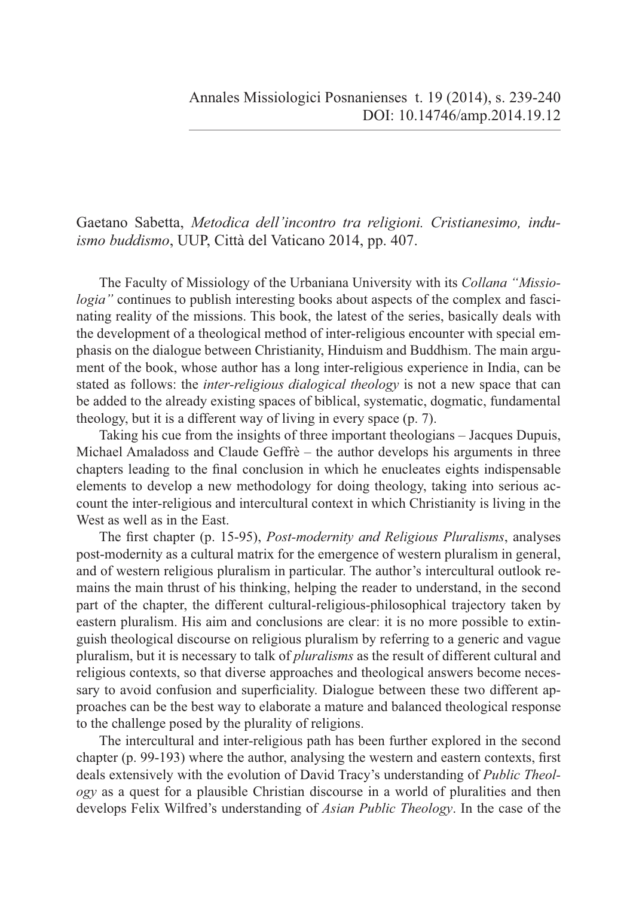Gaetano Sabetta, *Metodica dell'incontro tra religioni. Cristianesimo, induismo buddismo*, UUP, Città del Vaticano 2014, pp. 407.

The Faculty of Missiology of the Urbaniana University with its *Collana "Missiologia*" continues to publish interesting books about aspects of the complex and fascinating reality of the missions. This book, the latest of the series, basically deals with the development of a theological method of inter-religious encounter with special emphasis on the dialogue between Christianity, Hinduism and Buddhism. The main argument of the book, whose author has a long inter-religious experience in India, can be stated as follows: the *inter-religious dialogical theology* is not a new space that can be added to the already existing spaces of biblical, systematic, dogmatic, fundamental theology, but it is a different way of living in every space (p. 7).

Taking his cue from the insights of three important theologians – Jacques Dupuis, Michael Amaladoss and Claude Geffrè – the author develops his arguments in three chapters leading to the final conclusion in which he enucleates eights indispensable elements to develop a new methodology for doing theology, taking into serious account the inter-religious and intercultural context in which Christianity is living in the West as well as in the East.

The first chapter (p. 15-95), *Post-modernity and Religious Pluralisms*, analyses post-modernity as a cultural matrix for the emergence of western pluralism in general, and of western religious pluralism in particular. The author's intercultural outlook remains the main thrust of his thinking, helping the reader to understand, in the second part of the chapter, the different cultural-religious-philosophical trajectory taken by eastern pluralism. His aim and conclusions are clear: it is no more possible to extinguish theological discourse on religious pluralism by referring to a generic and vague pluralism, but it is necessary to talk of *pluralisms* as the result of different cultural and religious contexts, so that diverse approaches and theological answers become necessary to avoid confusion and superficiality. Dialogue between these two different approaches can be the best way to elaborate a mature and balanced theological response to the challenge posed by the plurality of religions.

The intercultural and inter-religious path has been further explored in the second chapter (p. 99-193) where the author, analysing the western and eastern contexts, first deals extensively with the evolution of David Tracy's understanding of *Public Theology* as a quest for a plausible Christian discourse in a world of pluralities and then develops Felix Wilfred's understanding of *Asian Public Theology*. In the case of the